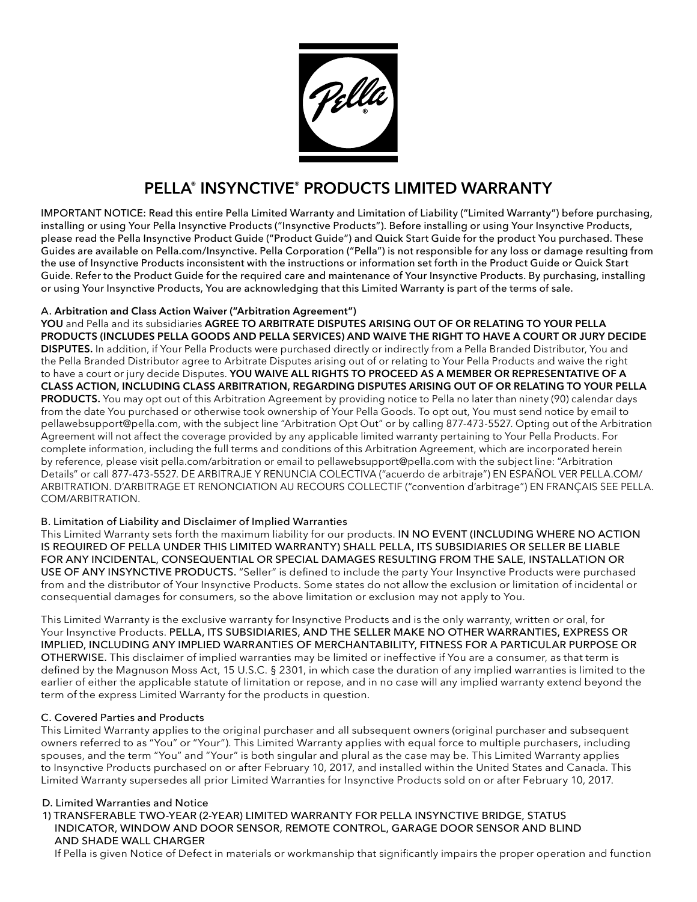

# PELLA® INSYNCTIVE® PRODUCTS LIMITED WARRANTY

IMPORTANT NOTICE: Read this entire Pella Limited Warranty and Limitation of Liability ("Limited Warranty") before purchasing, installing or using Your Pella Insynctive Products ("Insynctive Products"). Before installing or using Your Insynctive Products, please read the Pella Insynctive Product Guide ("Product Guide") and Quick Start Guide for the product You purchased. These Guides are available on Pella.com/Insynctive. Pella Corporation ("Pella") is not responsible for any loss or damage resulting from the use of Insynctive Products inconsistent with the instructions or information set forth in the Product Guide or Quick Start Guide. Refer to the Product Guide for the required care and maintenance of Your Insynctive Products. By purchasing, installing or using Your Insynctive Products, You are acknowledging that this Limited Warranty is part of the terms of sale.

# A. Arbitration and Class Action Waiver ("Arbitration Agreement")

YOU and Pella and its subsidiaries AGREE TO ARBITRATE DISPUTES ARISING OUT OF OR RELATING TO YOUR PELLA PRODUCTS (INCLUDES PELLA GOODS AND PELLA SERVICES) AND WAIVE THE RIGHT TO HAVE A COURT OR JURY DECIDE DISPUTES. In addition, if Your Pella Products were purchased directly or indirectly from a Pella Branded Distributor, You and the Pella Branded Distributor agree to Arbitrate Disputes arising out of or relating to Your Pella Products and waive the right to have a court or jury decide Disputes. YOU WAIVE ALL RIGHTS TO PROCEED AS A MEMBER OR REPRESENTATIVE OF A CLASS ACTION, INCLUDING CLASS ARBITRATION, REGARDING DISPUTES ARISING OUT OF OR RELATING TO YOUR PELLA PRODUCTS. You may opt out of this Arbitration Agreement by providing notice to Pella no later than ninety (90) calendar days from the date You purchased or otherwise took ownership of Your Pella Goods. To opt out, You must send notice by email to pellawebsupport@pella.com, with the subject line "Arbitration Opt Out" or by calling 877-473-5527. Opting out of the Arbitration Agreement will not affect the coverage provided by any applicable limited warranty pertaining to Your Pella Products. For complete information, including the full terms and conditions of this Arbitration Agreement, which are incorporated herein by reference, please visit pella.com/arbitration or email to pellawebsupport@pella.com with the subject line: "Arbitration Details" or call 877-473-5527. DE ARBITRAJE Y RENUNCIA COLECTIVA ("acuerdo de arbitraje") EN ESPAÑOL VER PELLA.COM/ ARBITRATION. D'ARBITRAGE ET RENONCIATION AU RECOURS COLLECTIF ("convention d'arbitrage") EN FRANÇAIS SEE PELLA. COM/ARBITRATION.

# B. Limitation of Liability and Disclaimer of Implied Warranties

This Limited Warranty sets forth the maximum liability for our products. IN NO EVENT (INCLUDING WHERE NO ACTION IS REQUIRED OF PELLA UNDER THIS LIMITED WARRANTY) SHALL PELLA, ITS SUBSIDIARIES OR SELLER BE LIABLE FOR ANY INCIDENTAL, CONSEQUENTIAL OR SPECIAL DAMAGES RESULTING FROM THE SALE, INSTALLATION OR USE OF ANY INSYNCTIVE PRODUCTS. "Seller" is defined to include the party Your Insynctive Products were purchased from and the distributor of Your Insynctive Products. Some states do not allow the exclusion or limitation of incidental or consequential damages for consumers, so the above limitation or exclusion may not apply to You.

This Limited Warranty is the exclusive warranty for Insynctive Products and is the only warranty, written or oral, for Your Insynctive Products. PELLA, ITS SUBSIDIARIES, AND THE SELLER MAKE NO OTHER WARRANTIES, EXPRESS OR IMPLIED, INCLUDING ANY IMPLIED WARRANTIES OF MERCHANTABILITY, FITNESS FOR A PARTICULAR PURPOSE OR OTHERWISE. This disclaimer of implied warranties may be limited or ineffective if You are a consumer, as that term is defined by the Magnuson Moss Act, 15 U.S.C. § 2301, in which case the duration of any implied warranties is limited to the earlier of either the applicable statute of limitation or repose, and in no case will any implied warranty extend beyond the term of the express Limited Warranty for the products in question.

# C. Covered Parties and Products

This Limited Warranty applies to the original purchaser and all subsequent owners (original purchaser and subsequent owners referred to as "You" or "Your"). This Limited Warranty applies with equal force to multiple purchasers, including spouses, and the term "You" and "Your" is both singular and plural as the case may be. This Limited Warranty applies to Insynctive Products purchased on or after February 10, 2017, and installed within the United States and Canada. This Limited Warranty supersedes all prior Limited Warranties for Insynctive Products sold on or after February 10, 2017.

## D. Limited Warranties and Notice

1) TRANSFERABLE TWO-YEAR (2-YEAR) LIMITED WARRANTY FOR PELLA INSYNCTIVE BRIDGE, STATUS INDICATOR, WINDOW AND DOOR SENSOR, REMOTE CONTROL, GARAGE DOOR SENSOR AND BLIND AND SHADE WALL CHARGER

If Pella is given Notice of Defect in materials or workmanship that significantly impairs the proper operation and function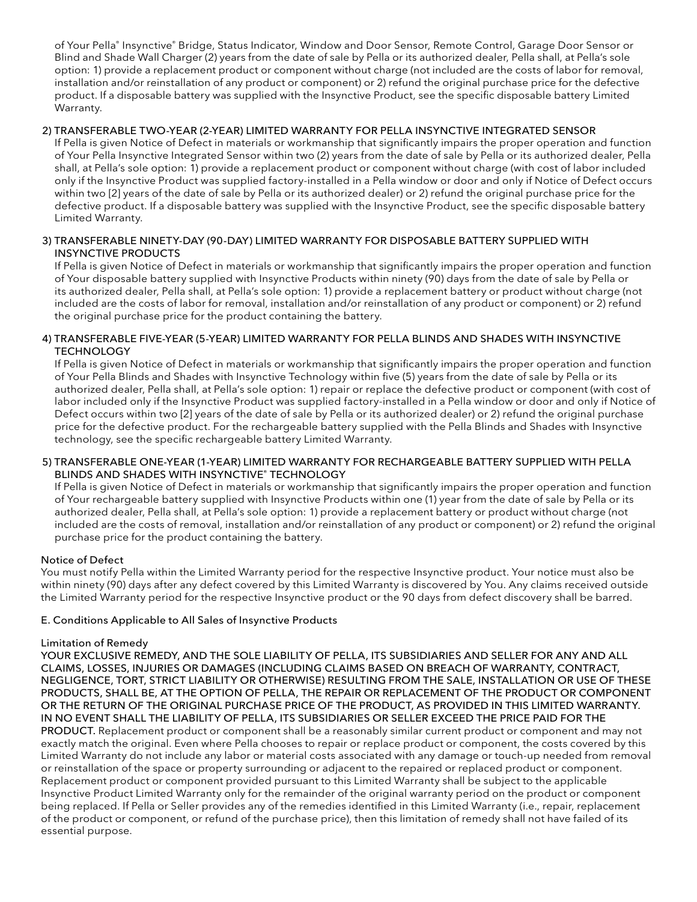of Your Pella® Insynctive® Bridge, Status Indicator, Window and Door Sensor, Remote Control, Garage Door Sensor or Blind and Shade Wall Charger (2) years from the date of sale by Pella or its authorized dealer, Pella shall, at Pella's sole option: 1) provide a replacement product or component without charge (not included are the costs of labor for removal, installation and/or reinstallation of any product or component) or 2) refund the original purchase price for the defective product. If a disposable battery was supplied with the Insynctive Product, see the specific disposable battery Limited Warranty.

## 2) TRANSFERABLE TWO-YEAR (2-YEAR) LIMITED WARRANTY FOR PELLA INSYNCTIVE INTEGRATED SENSOR

If Pella is given Notice of Defect in materials or workmanship that significantly impairs the proper operation and function of Your Pella Insynctive Integrated Sensor within two (2) years from the date of sale by Pella or its authorized dealer, Pella shall, at Pella's sole option: 1) provide a replacement product or component without charge (with cost of labor included only if the Insynctive Product was supplied factory-installed in a Pella window or door and only if Notice of Defect occurs within two [2] years of the date of sale by Pella or its authorized dealer) or 2) refund the original purchase price for the defective product. If a disposable battery was supplied with the Insynctive Product, see the specific disposable battery Limited Warranty.

## 3) TRANSFERABLE NINETY-DAY (90-DAY) LIMITED WARRANTY FOR DISPOSABLE BATTERY SUPPLIED WITH INSYNCTIVE PRODUCTS

If Pella is given Notice of Defect in materials or workmanship that significantly impairs the proper operation and function of Your disposable battery supplied with Insynctive Products within ninety (90) days from the date of sale by Pella or its authorized dealer, Pella shall, at Pella's sole option: 1) provide a replacement battery or product without charge (not included are the costs of labor for removal, installation and/or reinstallation of any product or component) or 2) refund the original purchase price for the product containing the battery.

## 4) TRANSFERABLE FIVE-YEAR (5-YEAR) LIMITED WARRANTY FOR PELLA BLINDS AND SHADES WITH INSYNCTIVE **TECHNOLOGY**

If Pella is given Notice of Defect in materials or workmanship that significantly impairs the proper operation and function of Your Pella Blinds and Shades with Insynctive Technology within five (5) years from the date of sale by Pella or its authorized dealer, Pella shall, at Pella's sole option: 1) repair or replace the defective product or component (with cost of labor included only if the Insynctive Product was supplied factory-installed in a Pella window or door and only if Notice of Defect occurs within two [2] years of the date of sale by Pella or its authorized dealer) or 2) refund the original purchase price for the defective product. For the rechargeable battery supplied with the Pella Blinds and Shades with Insynctive technology, see the specific rechargeable battery Limited Warranty.

## 5) TRANSFERABLE ONE-YEAR (1-YEAR) LIMITED WARRANTY FOR RECHARGEABLE BATTERY SUPPLIED WITH PELLA BLINDS AND SHADES WITH INSYNCTIVE® TECHNOLOGY

If Pella is given Notice of Defect in materials or workmanship that significantly impairs the proper operation and function of Your rechargeable battery supplied with Insynctive Products within one (1) year from the date of sale by Pella or its authorized dealer, Pella shall, at Pella's sole option: 1) provide a replacement battery or product without charge (not included are the costs of removal, installation and/or reinstallation of any product or component) or 2) refund the original purchase price for the product containing the battery.

## Notice of Defect

You must notify Pella within the Limited Warranty period for the respective Insynctive product. Your notice must also be within ninety (90) days after any defect covered by this Limited Warranty is discovered by You. Any claims received outside the Limited Warranty period for the respective Insynctive product or the 90 days from defect discovery shall be barred.

## E. Conditions Applicable to All Sales of Insynctive Products

## Limitation of Remedy

YOUR EXCLUSIVE REMEDY, AND THE SOLE LIABILITY OF PELLA, ITS SUBSIDIARIES AND SELLER FOR ANY AND ALL CLAIMS, LOSSES, INJURIES OR DAMAGES (INCLUDING CLAIMS BASED ON BREACH OF WARRANTY, CONTRACT, NEGLIGENCE, TORT, STRICT LIABILITY OR OTHERWISE) RESULTING FROM THE SALE, INSTALLATION OR USE OF THESE PRODUCTS, SHALL BE, AT THE OPTION OF PELLA, THE REPAIR OR REPLACEMENT OF THE PRODUCT OR COMPONENT OR THE RETURN OF THE ORIGINAL PURCHASE PRICE OF THE PRODUCT, AS PROVIDED IN THIS LIMITED WARRANTY. IN NO EVENT SHALL THE LIABILITY OF PELLA, ITS SUBSIDIARIES OR SELLER EXCEED THE PRICE PAID FOR THE PRODUCT. Replacement product or component shall be a reasonably similar current product or component and may not exactly match the original. Even where Pella chooses to repair or replace product or component, the costs covered by this Limited Warranty do not include any labor or material costs associated with any damage or touch-up needed from removal or reinstallation of the space or property surrounding or adjacent to the repaired or replaced product or component. Replacement product or component provided pursuant to this Limited Warranty shall be subject to the applicable Insynctive Product Limited Warranty only for the remainder of the original warranty period on the product or component being replaced. If Pella or Seller provides any of the remedies identified in this Limited Warranty (i.e., repair, replacement of the product or component, or refund of the purchase price), then this limitation of remedy shall not have failed of its essential purpose.